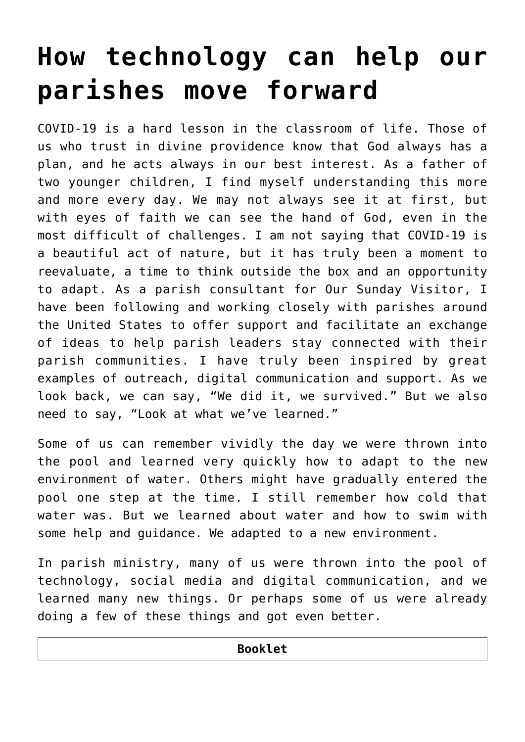# **[How technology can help our](https://www.osvnews.com/amp/2020/06/02/how-technology-can-help-our-parishes-move-forward/) [parishes move forward](https://www.osvnews.com/amp/2020/06/02/how-technology-can-help-our-parishes-move-forward/)**

COVID-19 is a hard lesson in the classroom of life. Those of us who trust in divine providence know that God always has a plan, and he acts always in our best interest. As a father of two younger children, I find myself understanding this more and more every day. We may not always see it at first, but with eyes of faith we can see the hand of God, even in the most difficult of challenges. I am not saying that COVID-19 is a beautiful act of nature, but it has truly been a moment to reevaluate, a time to think outside the box and an opportunity to adapt. As a parish consultant for Our Sunday Visitor, I have been following and working closely with parishes around the United States to offer support and facilitate an exchange of ideas to help parish leaders stay connected with their parish communities. I have truly been inspired by great examples of outreach, digital communication and support. As we look back, we can say, "We did it, we survived." But we also need to say, "Look at what we've learned."

Some of us can remember vividly the day we were thrown into the pool and learned very quickly how to adapt to the new environment of water. Others might have gradually entered the pool one step at the time. I still remember how cold that water was. But we learned about water and how to swim with some help and guidance. We adapted to a new environment.

In parish ministry, many of us were thrown into the pool of technology, social media and digital communication, and we learned many new things. Or perhaps some of us were already doing a few of these things and got even better.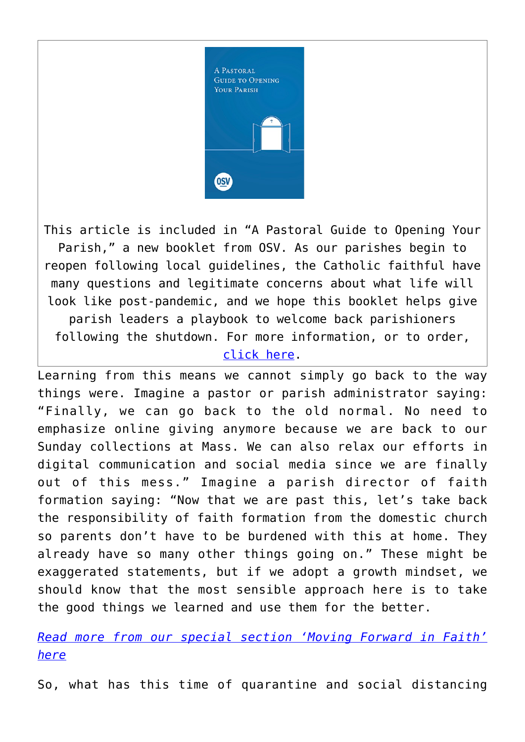

This article is included in "A Pastoral Guide to Opening Your Parish," a new booklet from OSV. As our parishes begin to reopen following local guidelines, the Catholic faithful have many questions and legitimate concerns about what life will look like post-pandemic, and we hope this booklet helps give parish leaders a playbook to welcome back parishioners following the shutdown. For more information, or to order, [click here](https://www.osvcatholicbookstore.com/product/a-pastoral-guide-to-opening-your-parish).

Learning from this means we cannot simply go back to the way things were. Imagine a pastor or parish administrator saying: "Finally, we can go back to the old normal. No need to emphasize online giving anymore because we are back to our Sunday collections at Mass. We can also relax our efforts in digital communication and social media since we are finally out of this mess." Imagine a parish director of faith formation saying: "Now that we are past this, let's take back the responsibility of faith formation from the domestic church so parents don't have to be burdened with this at home. They already have so many other things going on." These might be exaggerated statements, but if we adopt a growth mindset, we should know that the most sensible approach here is to take the good things we learned and use them for the better.

#### *[Read more from our special section 'Moving Forward in Faith'](https://www.osvnews.com/tag/reopening-special-section/) [here](https://www.osvnews.com/tag/reopening-special-section/)*

So, what has this time of quarantine and social distancing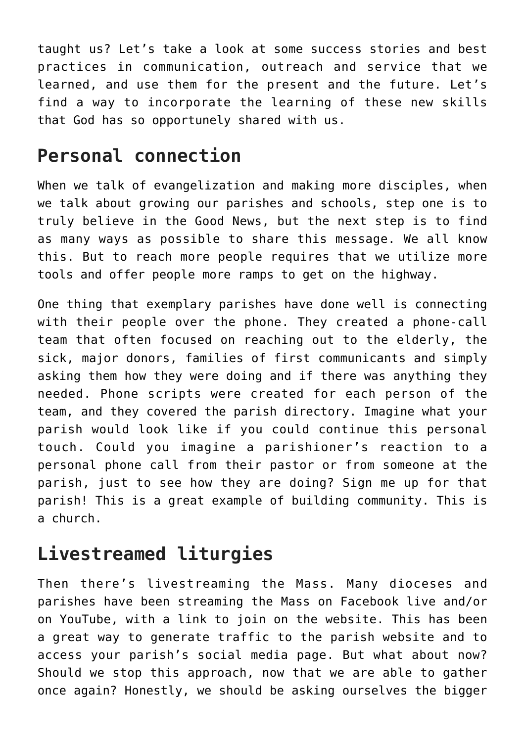taught us? Let's take a look at some success stories and best practices in communication, outreach and service that we learned, and use them for the present and the future. Let's find a way to incorporate the learning of these new skills that God has so opportunely shared with us.

## **Personal connection**

When we talk of evangelization and making more disciples, when we talk about growing our parishes and schools, step one is to truly believe in the Good News, but the next step is to find as many ways as possible to share this message. We all know this. But to reach more people requires that we utilize more tools and offer people more ramps to get on the highway.

One thing that exemplary parishes have done well is connecting with their people over the phone. They created a phone-call team that often focused on reaching out to the elderly, the sick, major donors, families of first communicants and simply asking them how they were doing and if there was anything they needed. Phone scripts were created for each person of the team, and they covered the parish directory. Imagine what your parish would look like if you could continue this personal touch. Could you imagine a parishioner's reaction to a personal phone call from their pastor or from someone at the parish, just to see how they are doing? Sign me up for that parish! This is a great example of building community. This is a church.

## **Livestreamed liturgies**

Then there's livestreaming the Mass. Many dioceses and parishes have been streaming the Mass on Facebook live and/or on YouTube, with a link to join on the website. This has been a great way to generate traffic to the parish website and to access your parish's social media page. But what about now? Should we stop this approach, now that we are able to gather once again? Honestly, we should be asking ourselves the bigger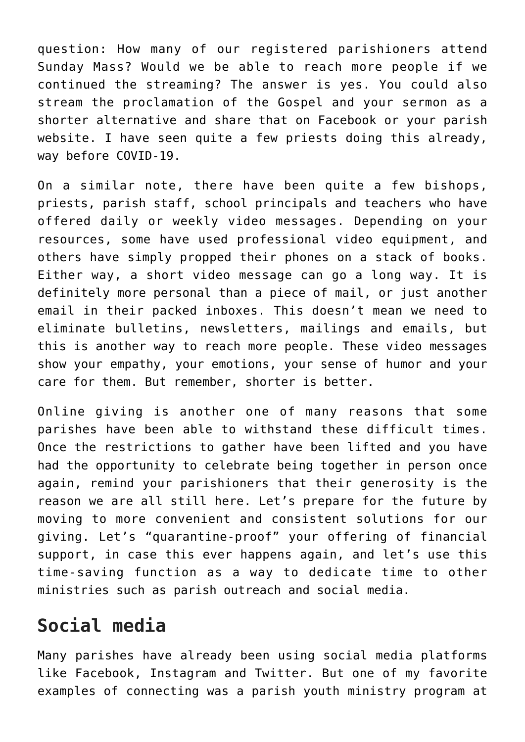question: How many of our registered parishioners attend Sunday Mass? Would we be able to reach more people if we continued the streaming? The answer is yes. You could also stream the proclamation of the Gospel and your sermon as a shorter alternative and share that on Facebook or your parish website. I have seen quite a few priests doing this already, way before COVID-19.

On a similar note, there have been quite a few bishops, priests, parish staff, school principals and teachers who have offered daily or weekly video messages. Depending on your resources, some have used professional video equipment, and others have simply propped their phones on a stack of books. Either way, a short video message can go a long way. It is definitely more personal than a piece of mail, or just another email in their packed inboxes. This doesn't mean we need to eliminate bulletins, newsletters, mailings and emails, but this is another way to reach more people. These video messages show your empathy, your emotions, your sense of humor and your care for them. But remember, shorter is better.

Online giving is another one of many reasons that some parishes have been able to withstand these difficult times. Once the restrictions to gather have been lifted and you have had the opportunity to celebrate being together in person once again, remind your parishioners that their generosity is the reason we are all still here. Let's prepare for the future by moving to more convenient and consistent solutions for our giving. Let's "quarantine-proof" your offering of financial support, in case this ever happens again, and let's use this time-saving function as a way to dedicate time to other ministries such as parish outreach and social media.

#### **Social media**

Many parishes have already been using social media platforms like Facebook, Instagram and Twitter. But one of my favorite examples of connecting was a parish youth ministry program at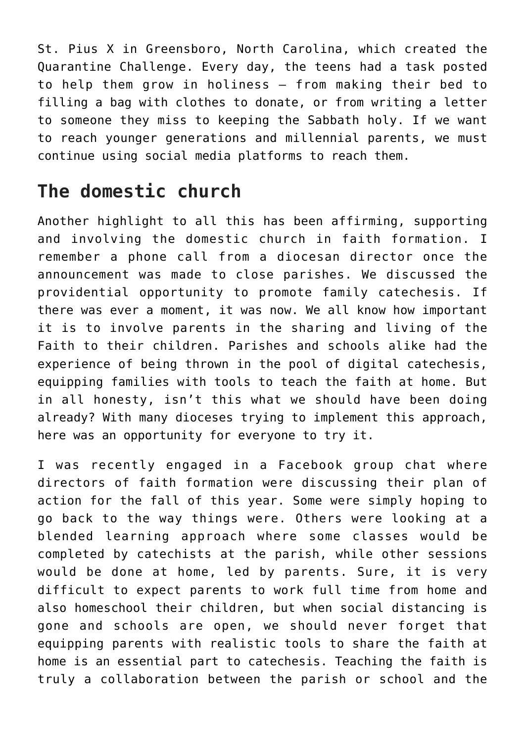St. Pius X in Greensboro, North Carolina, which created the Quarantine Challenge. Every day, the teens had a task posted to help them grow in holiness — from making their bed to filling a bag with clothes to donate, or from writing a letter to someone they miss to keeping the Sabbath holy. If we want to reach younger generations and millennial parents, we must continue using social media platforms to reach them.

#### **The domestic church**

Another highlight to all this has been affirming, supporting and involving the domestic church in faith formation. I remember a phone call from a diocesan director once the announcement was made to close parishes. We discussed the providential opportunity to promote family catechesis. If there was ever a moment, it was now. We all know how important it is to involve parents in the sharing and living of the Faith to their children. Parishes and schools alike had the experience of being thrown in the pool of digital catechesis, equipping families with tools to teach the faith at home. But in all honesty, isn't this what we should have been doing already? With many dioceses trying to implement this approach, here was an opportunity for everyone to try it.

I was recently engaged in a Facebook group chat where directors of faith formation were discussing their plan of action for the fall of this year. Some were simply hoping to go back to the way things were. Others were looking at a blended learning approach where some classes would be completed by catechists at the parish, while other sessions would be done at home, led by parents. Sure, it is very difficult to expect parents to work full time from home and also homeschool their children, but when social distancing is gone and schools are open, we should never forget that equipping parents with realistic tools to share the faith at home is an essential part to catechesis. Teaching the faith is truly a collaboration between the parish or school and the